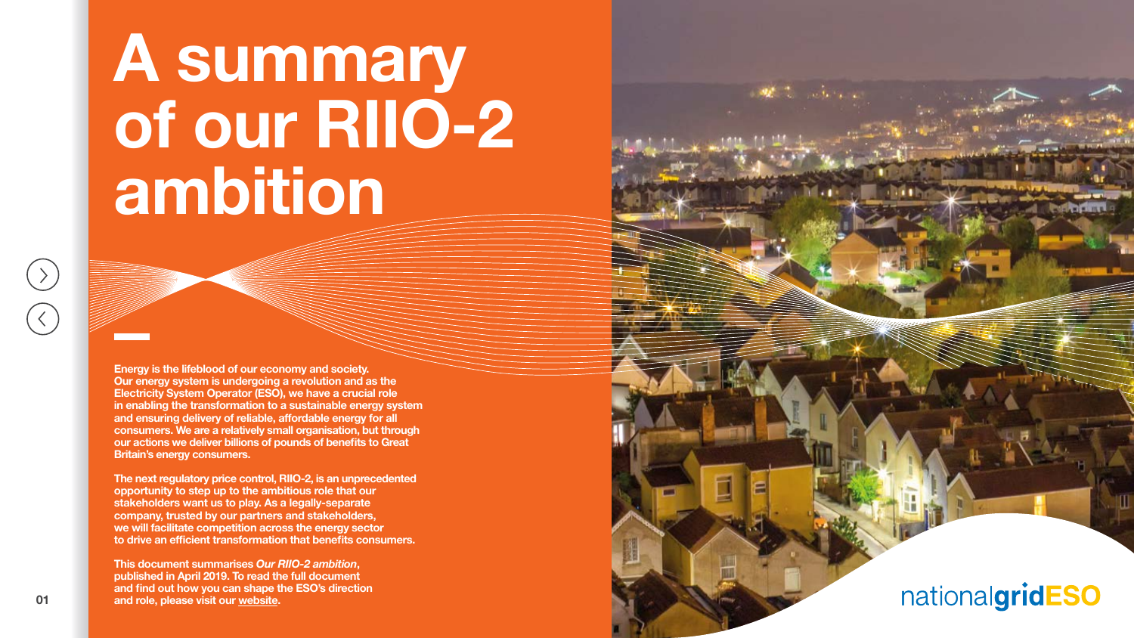**Energy is the lifeblood of our economy and society. Our energy system is undergoing a revolution and as the Electricity System Operator (ESO), we have a crucial role in enabling the transformation to a sustainable energy system and ensuring delivery of reliable, affordable energy for all consumers. We are a relatively small organisation, but through our actions we deliver billions of pounds of benefits to Great Britain's energy consumers.**

**The next regulatory price control, RIIO-2, is an unprecedented opportunity to step up to the ambitious role that our stakeholders want us to play. As a legally-separate company, trusted by our partners and stakeholders, we will facilitate competition across the energy sector to drive an efficient transformation that benefits consumers.**

**This document summarises** *Our RIIO-2 ambition***, published in April 2019. To read the full document and find out how you can shape the ESO's direction and role, please visit our [website.](https://www.nationalgrideso.com/about-us/business-plans/future-planning-2021-onwards)**

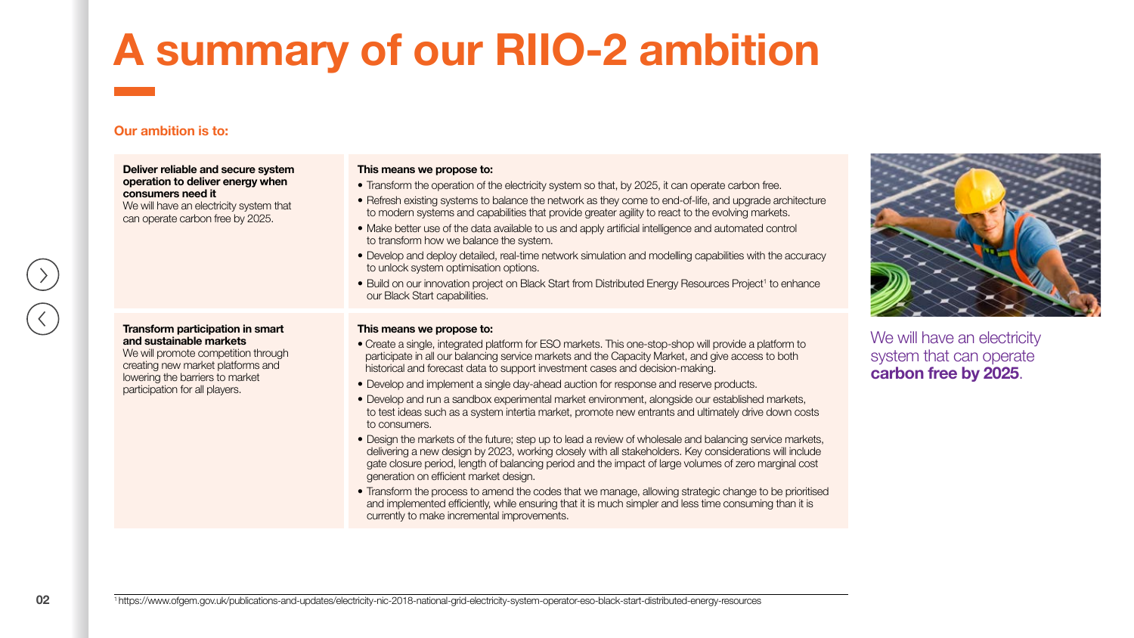### **Our ambition is to:**

**Deliver reliable and secure system operation to deliver energy when consumers need it** We will have an electricity system that can operate carbon free by 2025.

#### **Transform participation in smart and sustainable markets** We will promote competition through

creating new market platforms and lowering the barriers to market participation for all players.

#### **This means we propose to:**

- Transform the operation of the electricity system so that, by 2025, it can operate carbon free.
- Refresh existing systems to balance the network as they come to end-of-life, and upgrade architecture to modern systems and capabilities that provide greater agility to react to the evolving markets.
- Make better use of the data available to us and apply artificial intelligence and automated control to transform how we balance the system.
- Develop and deploy detailed, real-time network simulation and modelling capabilities with the accuracy to unlock system optimisation options.
- Build on our innovation project on Black Start from Distributed Energy Resources Project<sup>1</sup> to enhance our Black Start capabilities.

#### **This means we propose to:**

- Create a single, integrated platform for ESO markets. This one-stop-shop will provide a platform to participate in all our balancing service markets and the Capacity Market, and give access to both historical and forecast data to support investment cases and decision-making.
- Develop and implement a single day-ahead auction for response and reserve products.
- Develop and run a sandbox experimental market environment, alongside our established markets, to test ideas such as a system intertia market, promote new entrants and ultimately drive down costs to consumers.
- Design the markets of the future; step up to lead a review of wholesale and balancing service markets, delivering a new design by 2023, working closely with all stakeholders. Key considerations will include gate closure period, length of balancing period and the impact of large volumes of zero marginal cost generation on efficient market design.
- Transform the process to amend the codes that we manage, allowing strategic change to be prioritised and implemented efficiently, while ensuring that it is much simpler and less time consuming than it is currently to make incremental improvements.



We will have an electricity system that can operate **carbon free by 2025**.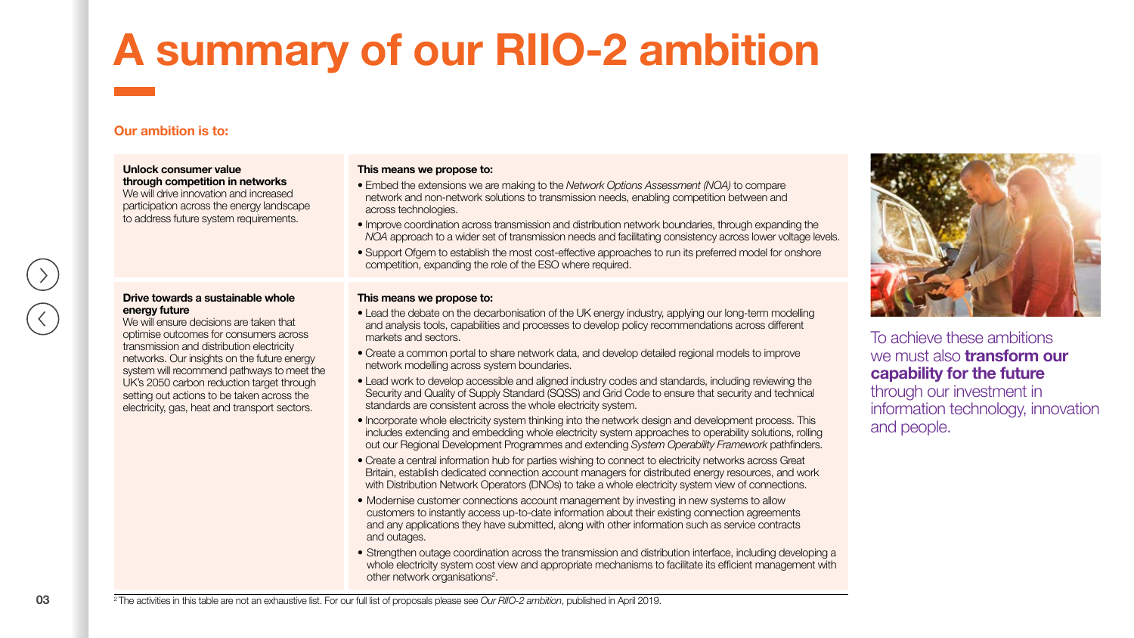### **Our ambition is to:**

**Unlock consumer value through competition in networks** We will drive innovation and increased participation across the energy landscape to address future system requirements.

#### **Drive towards a sustainable whole energy future**

We will ensure decisions are taken that optimise outcomes for consumers across transmission and distribution electricity networks. Our insights on the future energy system will recommend pathways to meet the UK's 2050 carbon reduction target through setting out actions to be taken across the electricity, gas, heat and transport sectors.

### **This means we propose to:**

- Embed the extensions we are making to the *Network Options Assessment (NOA)* to compare network and non-network solutions to transmission needs, enabling competition between and across technologies.
- Improve coordination across transmission and distribution network boundaries, through expanding the *NOA* approach to a wider set of transmission needs and facilitating consistency across lower voltage levels.
- Support Ofgem to establish the most cost-effective approaches to run its preferred model for onshore competition, expanding the role of the ESO where required.

#### **This means we propose to:**

- Lead the debate on the decarbonisation of the UK energy industry, applying our long-term modelling and analysis tools, capabilities and processes to develop policy recommendations across different markets and sectors.
- Create a common portal to share network data, and develop detailed regional models to improve network modelling across system boundaries.
- Lead work to develop accessible and aligned industry codes and standards, including reviewing the Security and Quality of Supply Standard (SQSS) and Grid Code to ensure that security and technical standards are consistent across the whole electricity system.
- Incorporate whole electricity system thinking into the network design and development process. This includes extending and embedding whole electricity system approaches to operability solutions, rolling out our Regional Development Programmes and extending *System Operability Framework* pathfinders.
- Create a central information hub for parties wishing to connect to electricity networks across Great Britain, establish dedicated connection account managers for distributed energy resources, and work with Distribution Network Operators (DNOs) to take a whole electricity system view of connections.
- Modernise customer connections account management by investing in new systems to allow customers to instantly access up-to-date information about their existing connection agreements and any applications they have submitted, along with other information such as service contracts and outages.
- Strengthen outage coordination across the transmission and distribution interface, including developing a whole electricity system cost view and appropriate mechanisms to facilitate its efficient management with other network organisations<sup>2</sup>.



To achieve these ambitions we must also **transform our capability for the future** through our investment in information technology, innovation and people.